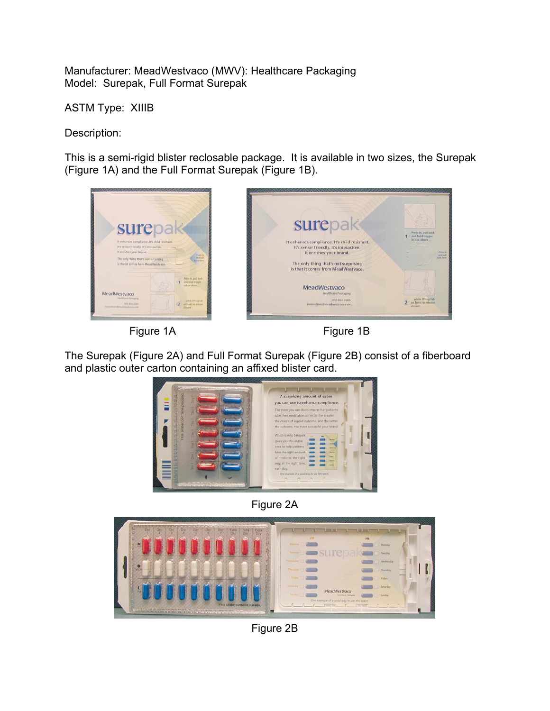Manufacturer: MeadWestvaco (MWV): Healthcare Packaging Model: Surepak, Full Format Surepak

ASTM Type: XIIIB

Description:

This is a semi-rigid blister reclosable package. It is available in two sizes, the Surepak (Figure 1A) and the Full Format Surepak (Figure 1B).







The Surepak (Figure 2A) and Full Format Surepak (Figure 2B) consist of a fiberboard and plastic outer carton containing an affixed blister card.



Figure 2A



Figure 2B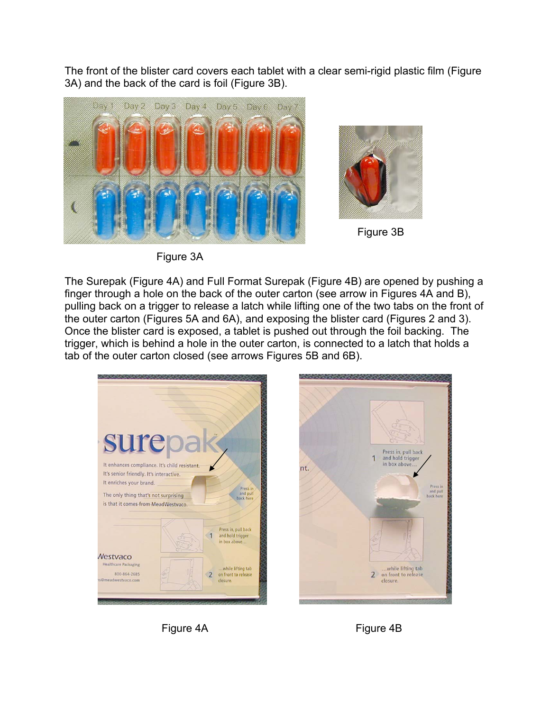The front of the blister card covers each tablet with a clear semi-rigid plastic film (Figure 3A) and the back of the card is foil (Figure 3B).



Figure 3A

The Surepak (Figure 4A) and Full Format Surepak (Figure 4B) are opened by pushing a finger through a hole on the back of the outer carton (see arrow in Figures 4A and B), pulling back on a trigger to release a latch while lifting one of the two tabs on the front of

the outer carton (Figures 5A and 6A), and exposing the blister card (Figures 2 and 3). Once the blister card is exposed, a tablet is pushed out through the foil backing. The trigger, which is behind a hole in the outer carton, is connected to a latch that holds a tab of the outer carton closed (see arrows Figures 5B and 6B).





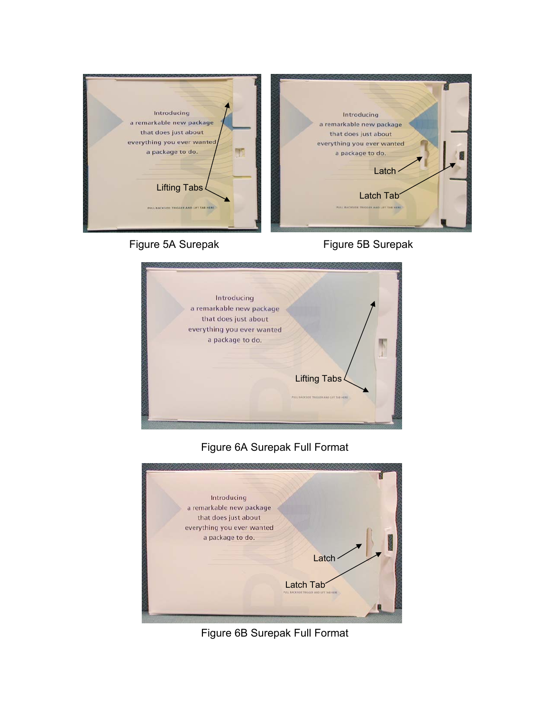

## Figure 5A Surepak Figure 5B Surepak



## Figure 6A Surepak Full Format



Figure 6B Surepak Full Format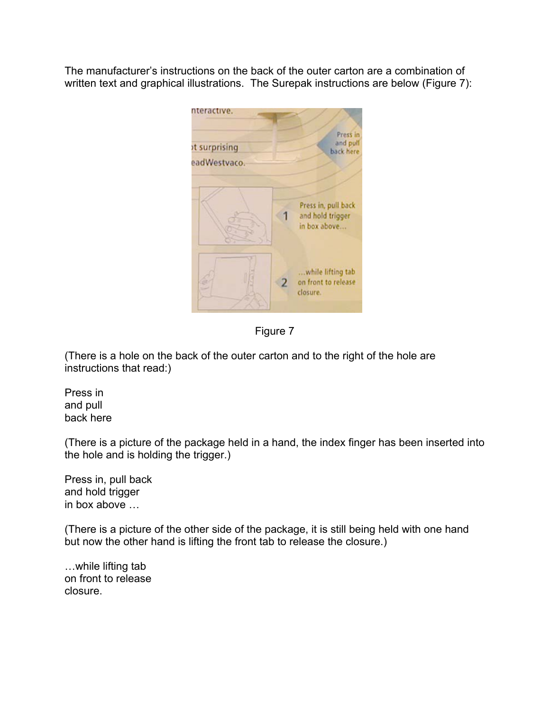The manufacturer's instructions on the back of the outer carton are a combination of written text and graphical illustrations. The Surepak instructions are below (Figure 7):



Figure 7

(There is a hole on the back of the outer carton and to the right of the hole are instructions that read:)

Press in and pull back here

(There is a picture of the package held in a hand, the index finger has been inserted into the hole and is holding the trigger.)

Press in, pull back and hold trigger in box above …

(There is a picture of the other side of the package, it is still being held with one hand but now the other hand is lifting the front tab to release the closure.)

…while lifting tab on front to release closure.